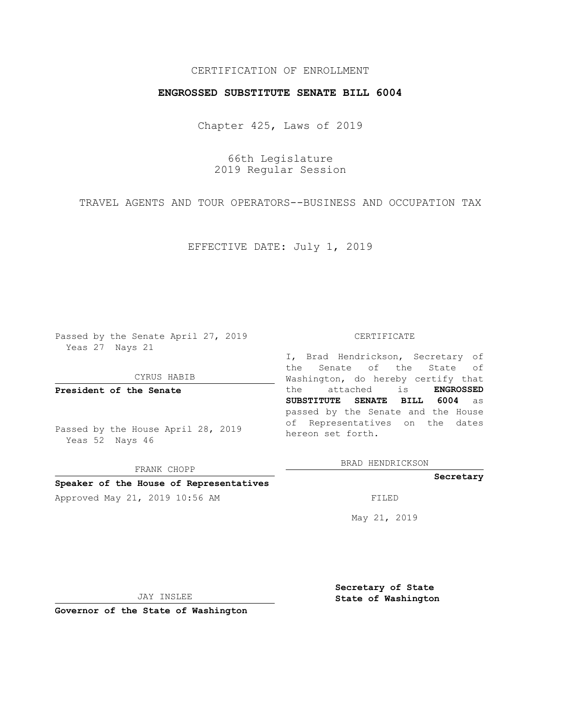# CERTIFICATION OF ENROLLMENT

## **ENGROSSED SUBSTITUTE SENATE BILL 6004**

Chapter 425, Laws of 2019

66th Legislature 2019 Regular Session

TRAVEL AGENTS AND TOUR OPERATORS--BUSINESS AND OCCUPATION TAX

EFFECTIVE DATE: July 1, 2019

Passed by the Senate April 27, 2019 Yeas 27 Nays 21

CYRUS HABIB

**President of the Senate**

Passed by the House April 28, 2019 Yeas 52 Nays 46

FRANK CHOPP

### **Speaker of the House of Representatives**

Approved May 21, 2019 10:56 AM FILED

#### CERTIFICATE

I, Brad Hendrickson, Secretary of the Senate of the State of Washington, do hereby certify that the attached is **ENGROSSED SUBSTITUTE SENATE BILL 6004** as passed by the Senate and the House of Representatives on the dates hereon set forth.

BRAD HENDRICKSON

### **Secretary**

May 21, 2019

JAY INSLEE

**Governor of the State of Washington**

**Secretary of State State of Washington**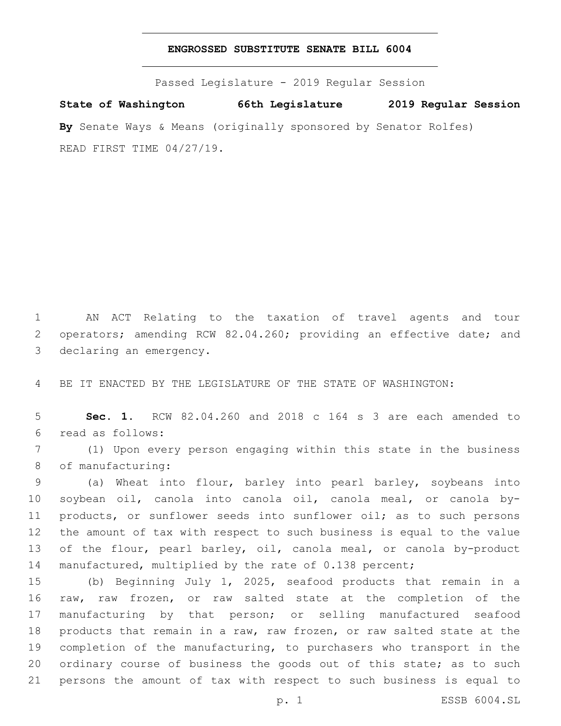## **ENGROSSED SUBSTITUTE SENATE BILL 6004**

Passed Legislature - 2019 Regular Session

**State of Washington 66th Legislature 2019 Regular Session By** Senate Ways & Means (originally sponsored by Senator Rolfes) READ FIRST TIME 04/27/19.

1 AN ACT Relating to the taxation of travel agents and tour 2 operators; amending RCW 82.04.260; providing an effective date; and 3 declaring an emergency.

4 BE IT ENACTED BY THE LEGISLATURE OF THE STATE OF WASHINGTON:

5 **Sec. 1.** RCW 82.04.260 and 2018 c 164 s 3 are each amended to read as follows:6

7 (1) Upon every person engaging within this state in the business 8 of manufacturing:

 (a) Wheat into flour, barley into pearl barley, soybeans into soybean oil, canola into canola oil, canola meal, or canola by- products, or sunflower seeds into sunflower oil; as to such persons the amount of tax with respect to such business is equal to the value 13 of the flour, pearl barley, oil, canola meal, or canola by-product manufactured, multiplied by the rate of 0.138 percent;

 (b) Beginning July 1, 2025, seafood products that remain in a raw, raw frozen, or raw salted state at the completion of the manufacturing by that person; or selling manufactured seafood products that remain in a raw, raw frozen, or raw salted state at the completion of the manufacturing, to purchasers who transport in the 20 ordinary course of business the goods out of this state; as to such persons the amount of tax with respect to such business is equal to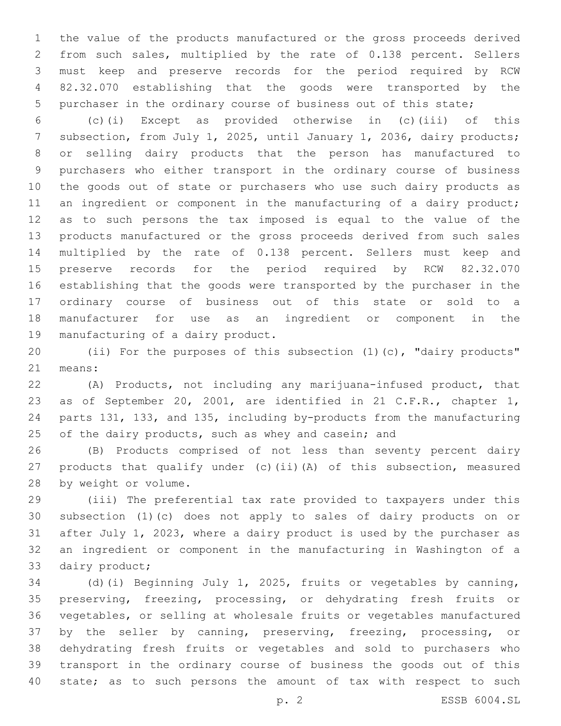the value of the products manufactured or the gross proceeds derived from such sales, multiplied by the rate of 0.138 percent. Sellers must keep and preserve records for the period required by RCW 82.32.070 establishing that the goods were transported by the purchaser in the ordinary course of business out of this state;

 (c)(i) Except as provided otherwise in (c)(iii) of this subsection, from July 1, 2025, until January 1, 2036, dairy products; or selling dairy products that the person has manufactured to purchasers who either transport in the ordinary course of business the goods out of state or purchasers who use such dairy products as 11 an ingredient or component in the manufacturing of a dairy product; as to such persons the tax imposed is equal to the value of the products manufactured or the gross proceeds derived from such sales multiplied by the rate of 0.138 percent. Sellers must keep and preserve records for the period required by RCW 82.32.070 establishing that the goods were transported by the purchaser in the ordinary course of business out of this state or sold to a manufacturer for use as an ingredient or component in the 19 manufacturing of a dairy product.

 (ii) For the purposes of this subsection (1)(c), "dairy products" 21 means:

 (A) Products, not including any marijuana-infused product, that as of September 20, 2001, are identified in 21 C.F.R., chapter 1, parts 131, 133, and 135, including by-products from the manufacturing 25 of the dairy products, such as whey and casein; and

 (B) Products comprised of not less than seventy percent dairy products that qualify under (c)(ii)(A) of this subsection, measured 28 by weight or volume.

 (iii) The preferential tax rate provided to taxpayers under this subsection (1)(c) does not apply to sales of dairy products on or after July 1, 2023, where a dairy product is used by the purchaser as an ingredient or component in the manufacturing in Washington of a 33 dairy product;

 (d)(i) Beginning July 1, 2025, fruits or vegetables by canning, preserving, freezing, processing, or dehydrating fresh fruits or vegetables, or selling at wholesale fruits or vegetables manufactured by the seller by canning, preserving, freezing, processing, or dehydrating fresh fruits or vegetables and sold to purchasers who transport in the ordinary course of business the goods out of this state; as to such persons the amount of tax with respect to such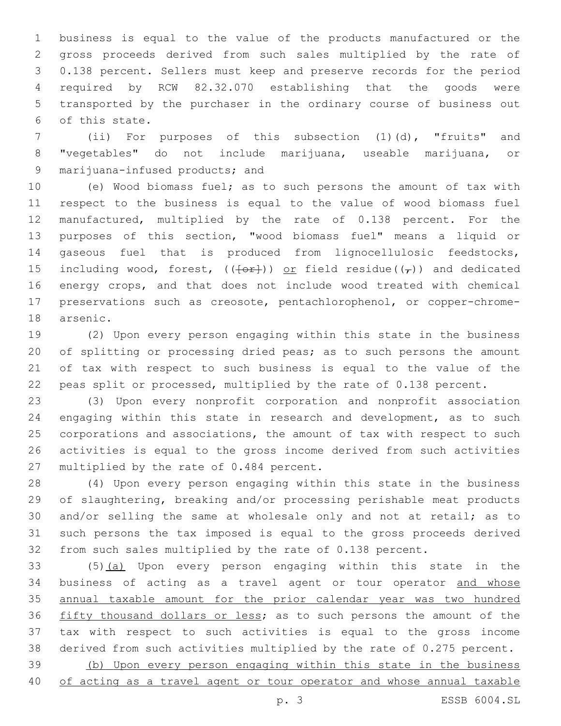business is equal to the value of the products manufactured or the gross proceeds derived from such sales multiplied by the rate of 0.138 percent. Sellers must keep and preserve records for the period required by RCW 82.32.070 establishing that the goods were transported by the purchaser in the ordinary course of business out of this state.6

 (ii) For purposes of this subsection (1)(d), "fruits" and "vegetables" do not include marijuana, useable marijuana, or 9 marijuana-infused products; and

 (e) Wood biomass fuel; as to such persons the amount of tax with respect to the business is equal to the value of wood biomass fuel manufactured, multiplied by the rate of 0.138 percent. For the purposes of this section, "wood biomass fuel" means a liquid or gaseous fuel that is produced from lignocellulosic feedstocks, 15 including wood, forest,  $((+o+))$  or field residue( $(\tau)$ ) and dedicated energy crops, and that does not include wood treated with chemical preservations such as creosote, pentachlorophenol, or copper-chrome-18 arsenic.

 (2) Upon every person engaging within this state in the business of splitting or processing dried peas; as to such persons the amount of tax with respect to such business is equal to the value of the peas split or processed, multiplied by the rate of 0.138 percent.

 (3) Upon every nonprofit corporation and nonprofit association engaging within this state in research and development, as to such 25 corporations and associations, the amount of tax with respect to such activities is equal to the gross income derived from such activities 27 multiplied by the rate of 0.484 percent.

 (4) Upon every person engaging within this state in the business of slaughtering, breaking and/or processing perishable meat products and/or selling the same at wholesale only and not at retail; as to such persons the tax imposed is equal to the gross proceeds derived from such sales multiplied by the rate of 0.138 percent.

 (5)(a) Upon every person engaging within this state in the business of acting as a travel agent or tour operator and whose 35 annual taxable amount for the prior calendar year was two hundred 36 fifty thousand dollars or less; as to such persons the amount of the tax with respect to such activities is equal to the gross income derived from such activities multiplied by the rate of 0.275 percent. (b) Upon every person engaging within this state in the business

of acting as a travel agent or tour operator and whose annual taxable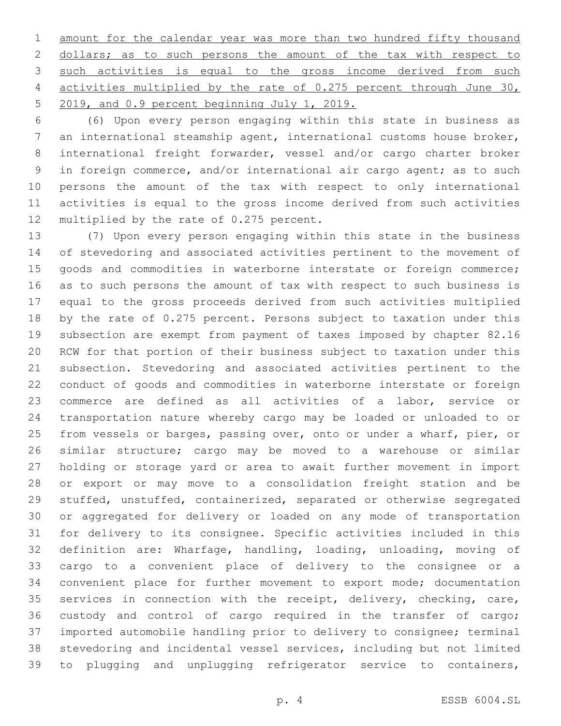amount for the calendar year was more than two hundred fifty thousand 2 dollars; as to such persons the amount of the tax with respect to such activities is equal to the gross income derived from such activities multiplied by the rate of 0.275 percent through June 30, 5 2019, and 0.9 percent beginning July 1, 2019.

 (6) Upon every person engaging within this state in business as an international steamship agent, international customs house broker, international freight forwarder, vessel and/or cargo charter broker in foreign commerce, and/or international air cargo agent; as to such persons the amount of the tax with respect to only international activities is equal to the gross income derived from such activities 12 multiplied by the rate of 0.275 percent.

 (7) Upon every person engaging within this state in the business of stevedoring and associated activities pertinent to the movement of 15 goods and commodities in waterborne interstate or foreign commerce; as to such persons the amount of tax with respect to such business is equal to the gross proceeds derived from such activities multiplied by the rate of 0.275 percent. Persons subject to taxation under this subsection are exempt from payment of taxes imposed by chapter 82.16 RCW for that portion of their business subject to taxation under this subsection. Stevedoring and associated activities pertinent to the conduct of goods and commodities in waterborne interstate or foreign commerce are defined as all activities of a labor, service or transportation nature whereby cargo may be loaded or unloaded to or from vessels or barges, passing over, onto or under a wharf, pier, or similar structure; cargo may be moved to a warehouse or similar holding or storage yard or area to await further movement in import or export or may move to a consolidation freight station and be stuffed, unstuffed, containerized, separated or otherwise segregated or aggregated for delivery or loaded on any mode of transportation for delivery to its consignee. Specific activities included in this definition are: Wharfage, handling, loading, unloading, moving of cargo to a convenient place of delivery to the consignee or a convenient place for further movement to export mode; documentation services in connection with the receipt, delivery, checking, care, custody and control of cargo required in the transfer of cargo; imported automobile handling prior to delivery to consignee; terminal stevedoring and incidental vessel services, including but not limited to plugging and unplugging refrigerator service to containers,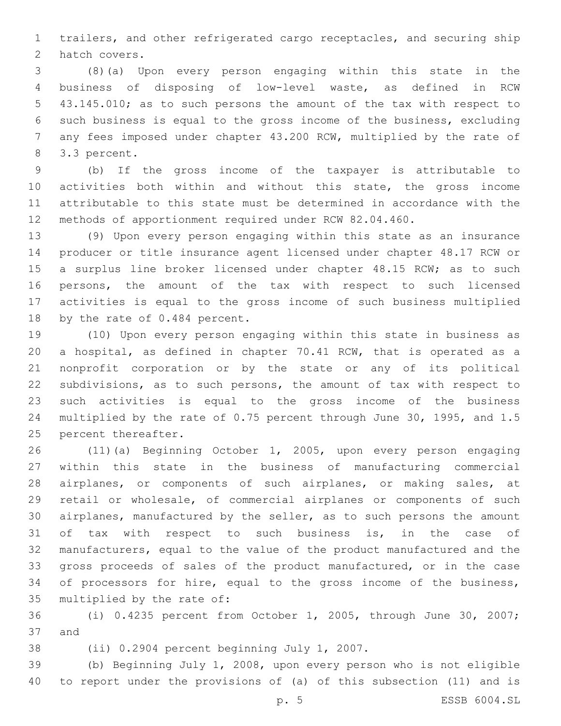trailers, and other refrigerated cargo receptacles, and securing ship 2 hatch covers.

 (8)(a) Upon every person engaging within this state in the business of disposing of low-level waste, as defined in RCW 43.145.010; as to such persons the amount of the tax with respect to such business is equal to the gross income of the business, excluding any fees imposed under chapter 43.200 RCW, multiplied by the rate of 8 3.3 percent.

 (b) If the gross income of the taxpayer is attributable to activities both within and without this state, the gross income attributable to this state must be determined in accordance with the methods of apportionment required under RCW 82.04.460.

 (9) Upon every person engaging within this state as an insurance producer or title insurance agent licensed under chapter 48.17 RCW or 15 a surplus line broker licensed under chapter 48.15 RCW; as to such persons, the amount of the tax with respect to such licensed activities is equal to the gross income of such business multiplied 18 by the rate of 0.484 percent.

 (10) Upon every person engaging within this state in business as a hospital, as defined in chapter 70.41 RCW, that is operated as a nonprofit corporation or by the state or any of its political subdivisions, as to such persons, the amount of tax with respect to such activities is equal to the gross income of the business multiplied by the rate of 0.75 percent through June 30, 1995, and 1.5 25 percent thereafter.

 (11)(a) Beginning October 1, 2005, upon every person engaging within this state in the business of manufacturing commercial airplanes, or components of such airplanes, or making sales, at retail or wholesale, of commercial airplanes or components of such airplanes, manufactured by the seller, as to such persons the amount of tax with respect to such business is, in the case of manufacturers, equal to the value of the product manufactured and the gross proceeds of sales of the product manufactured, or in the case of processors for hire, equal to the gross income of the business, 35 multiplied by the rate of:

 (i) 0.4235 percent from October 1, 2005, through June 30, 2007; 37 and

38 (ii) 0.2904 percent beginning July 1, 2007.

 (b) Beginning July 1, 2008, upon every person who is not eligible to report under the provisions of (a) of this subsection (11) and is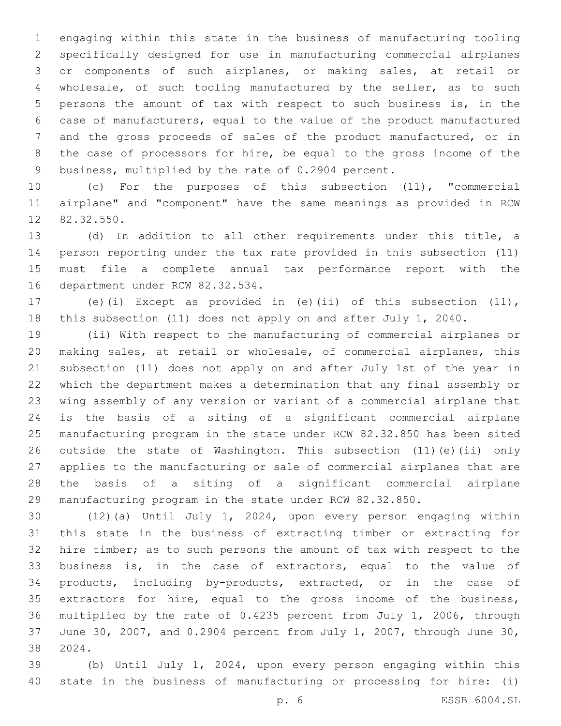engaging within this state in the business of manufacturing tooling specifically designed for use in manufacturing commercial airplanes or components of such airplanes, or making sales, at retail or wholesale, of such tooling manufactured by the seller, as to such persons the amount of tax with respect to such business is, in the case of manufacturers, equal to the value of the product manufactured and the gross proceeds of sales of the product manufactured, or in the case of processors for hire, be equal to the gross income of the business, multiplied by the rate of 0.2904 percent.

 (c) For the purposes of this subsection (11), "commercial airplane" and "component" have the same meanings as provided in RCW 12 82.32.550.

 (d) In addition to all other requirements under this title, a person reporting under the tax rate provided in this subsection (11) must file a complete annual tax performance report with the 16 department under RCW 82.32.534.

 (e)(i) Except as provided in (e)(ii) of this subsection (11), this subsection (11) does not apply on and after July 1, 2040.

 (ii) With respect to the manufacturing of commercial airplanes or making sales, at retail or wholesale, of commercial airplanes, this subsection (11) does not apply on and after July 1st of the year in which the department makes a determination that any final assembly or wing assembly of any version or variant of a commercial airplane that is the basis of a siting of a significant commercial airplane manufacturing program in the state under RCW 82.32.850 has been sited outside the state of Washington. This subsection (11)(e)(ii) only applies to the manufacturing or sale of commercial airplanes that are the basis of a siting of a significant commercial airplane manufacturing program in the state under RCW 82.32.850.

 (12)(a) Until July 1, 2024, upon every person engaging within this state in the business of extracting timber or extracting for hire timber; as to such persons the amount of tax with respect to the business is, in the case of extractors, equal to the value of products, including by-products, extracted, or in the case of extractors for hire, equal to the gross income of the business, multiplied by the rate of 0.4235 percent from July 1, 2006, through June 30, 2007, and 0.2904 percent from July 1, 2007, through June 30, 2024.38

 (b) Until July 1, 2024, upon every person engaging within this state in the business of manufacturing or processing for hire: (i)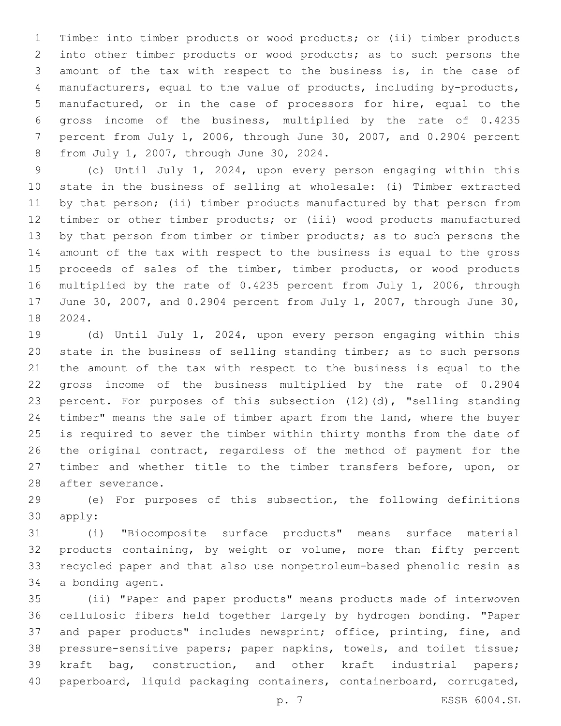Timber into timber products or wood products; or (ii) timber products into other timber products or wood products; as to such persons the amount of the tax with respect to the business is, in the case of manufacturers, equal to the value of products, including by-products, manufactured, or in the case of processors for hire, equal to the gross income of the business, multiplied by the rate of 0.4235 percent from July 1, 2006, through June 30, 2007, and 0.2904 percent 8 from July 1, 2007, through June 30, 2024.

 (c) Until July 1, 2024, upon every person engaging within this state in the business of selling at wholesale: (i) Timber extracted by that person; (ii) timber products manufactured by that person from timber or other timber products; or (iii) wood products manufactured 13 by that person from timber or timber products; as to such persons the amount of the tax with respect to the business is equal to the gross proceeds of sales of the timber, timber products, or wood products multiplied by the rate of 0.4235 percent from July 1, 2006, through June 30, 2007, and 0.2904 percent from July 1, 2007, through June 30, 2024.18

 (d) Until July 1, 2024, upon every person engaging within this state in the business of selling standing timber; as to such persons the amount of the tax with respect to the business is equal to the gross income of the business multiplied by the rate of 0.2904 percent. For purposes of this subsection (12)(d), "selling standing timber" means the sale of timber apart from the land, where the buyer is required to sever the timber within thirty months from the date of the original contract, regardless of the method of payment for the timber and whether title to the timber transfers before, upon, or 28 after severance.

 (e) For purposes of this subsection, the following definitions 30 apply:

 (i) "Biocomposite surface products" means surface material products containing, by weight or volume, more than fifty percent recycled paper and that also use nonpetroleum-based phenolic resin as 34 a bonding agent.

 (ii) "Paper and paper products" means products made of interwoven cellulosic fibers held together largely by hydrogen bonding. "Paper and paper products" includes newsprint; office, printing, fine, and pressure-sensitive papers; paper napkins, towels, and toilet tissue; kraft bag, construction, and other kraft industrial papers; paperboard, liquid packaging containers, containerboard, corrugated,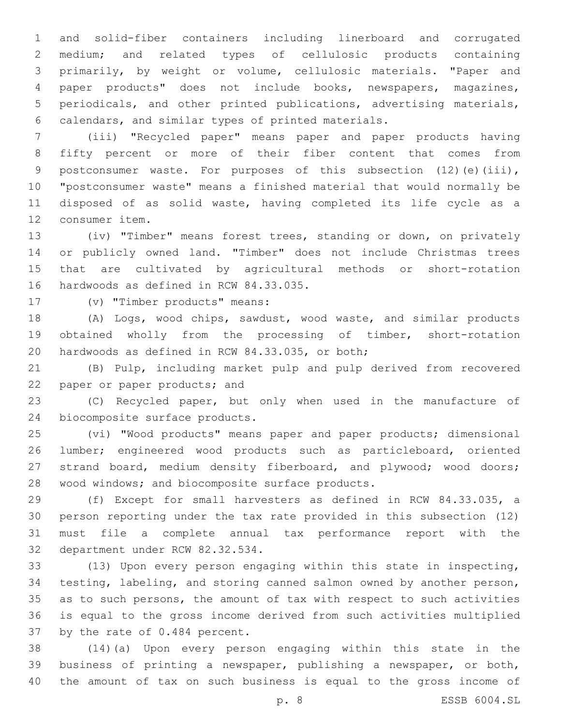and solid-fiber containers including linerboard and corrugated medium; and related types of cellulosic products containing primarily, by weight or volume, cellulosic materials. "Paper and paper products" does not include books, newspapers, magazines, periodicals, and other printed publications, advertising materials, calendars, and similar types of printed materials.6

 (iii) "Recycled paper" means paper and paper products having fifty percent or more of their fiber content that comes from 9 postconsumer waste. For purposes of this subsection (12)(e)(iii), "postconsumer waste" means a finished material that would normally be disposed of as solid waste, having completed its life cycle as a 12 consumer item.

 (iv) "Timber" means forest trees, standing or down, on privately or publicly owned land. "Timber" does not include Christmas trees that are cultivated by agricultural methods or short-rotation 16 hardwoods as defined in RCW 84.33.035.

17 (v) "Timber products" means:

 (A) Logs, wood chips, sawdust, wood waste, and similar products obtained wholly from the processing of timber, short-rotation 20 hardwoods as defined in RCW 84.33.035, or both;

 (B) Pulp, including market pulp and pulp derived from recovered 22 paper or paper products; and

 (C) Recycled paper, but only when used in the manufacture of 24 biocomposite surface products.

 (vi) "Wood products" means paper and paper products; dimensional lumber; engineered wood products such as particleboard, oriented strand board, medium density fiberboard, and plywood; wood doors; 28 wood windows; and biocomposite surface products.

 (f) Except for small harvesters as defined in RCW 84.33.035, a person reporting under the tax rate provided in this subsection (12) must file a complete annual tax performance report with the 32 department under RCW 82.32.534.

 (13) Upon every person engaging within this state in inspecting, testing, labeling, and storing canned salmon owned by another person, as to such persons, the amount of tax with respect to such activities is equal to the gross income derived from such activities multiplied 37 by the rate of 0.484 percent.

 (14)(a) Upon every person engaging within this state in the business of printing a newspaper, publishing a newspaper, or both, the amount of tax on such business is equal to the gross income of